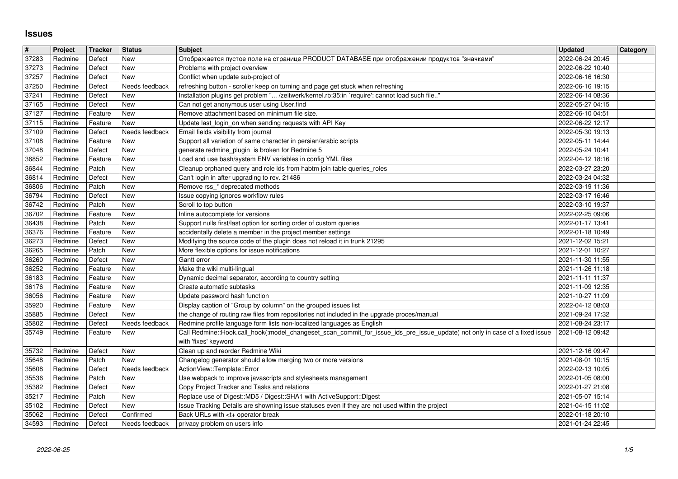## **Issues**

| $\overline{\#}$ | Project            | Tracker            | Status                      | <b>Subject</b>                                                                                                                                                 | <b>Updated</b>                       | Category |
|-----------------|--------------------|--------------------|-----------------------------|----------------------------------------------------------------------------------------------------------------------------------------------------------------|--------------------------------------|----------|
| 37283           | Redmine            | Defect             | New                         | Отображается пустое поле на странице PRODUCT DATABASE при отображении продуктов "значками"                                                                     | 2022-06-24 20:45                     |          |
| 37273<br>37257  | Redmine<br>Redmine | Defect<br>Defect   | New<br>New                  | Problems with project overview<br>Conflict when update sub-project of                                                                                          | 2022-06-22 10:40<br>2022-06-16 16:30 |          |
| 37250           | Redmine            | Defect             | Needs feedback              | refreshing button - scroller keep on turning and page get stuck when refreshing                                                                                | 2022-06-16 19:15                     |          |
| 37241           | Redmine            | Defect             | New                         | Installation plugins get problem " /zeitwerk/kernel.rb:35:in `require': cannot load such file"                                                                 | 2022-06-14 08:36                     |          |
| 37165           | Redmine            | Defect             | New                         | Can not get anonymous user using User.find                                                                                                                     | 2022-05-27 04:15                     |          |
| 37127<br>37115  | Redmine<br>Redmine | Feature<br>Feature | New<br>New                  | Remove attachment based on minimum file size.<br>Update last_login_on when sending requests with API Key                                                       | 2022-06-10 04:51<br>2022-06-22 12:17 |          |
| 37109           | Redmine            | Defect             | Needs feedback              | Email fields visibility from journal                                                                                                                           | 2022-05-30 19:13                     |          |
| 37108           | Redmine            | Feature            | New                         | Support all variation of same character in persian/arabic scripts                                                                                              | 2022-05-11 14:44                     |          |
| 37048<br>36852  | Redmine<br>Redmine | Defect<br>Feature  | New<br>New                  | generate redmine_plugin_is broken for Redmine 5<br>Load and use bash/system ENV variables in config YML files                                                  | 2022-05-24 10:41<br>2022-04-12 18:16 |          |
| 36844           | Redmine            | Patch              | New                         | Cleanup orphaned query and role ids from habtm join table queries_roles                                                                                        | 2022-03-27 23:20                     |          |
| 36814           | Redmine            | Defect             | New                         | Can't login in after upgrading to rev. 21486                                                                                                                   | 2022-03-24 04:32                     |          |
| 36806<br>36794  | Redmine<br>Redmine | Patch<br>Defect    | New<br>New                  | Remove rss_* deprecated methods<br>Issue copying ignores workflow rules                                                                                        | 2022-03-19 11:36<br>2022-03-17 16:46 |          |
| 36742           | Redmine            | Patch              | New                         | Scroll to top button                                                                                                                                           | 2022-03-10 19:37                     |          |
| 36702           | Redmine            | Feature            | New                         | Inline autocomplete for versions                                                                                                                               | 2022-02-25 09:06                     |          |
| 36438<br>36376  | Redmine<br>Redmine | Patch<br>Feature   | New<br>New                  | Support nulls first/last option for sorting order of custom queries<br>accidentally delete a member in the project member settings                             | 2022-01-17 13:41<br>2022-01-18 10:49 |          |
| 36273           | Redmine            | Defect             | New                         | Modifying the source code of the plugin does not reload it in trunk 21295                                                                                      | 2021-12-02 15:21                     |          |
| 36265           | Redmine            | Patch              | New                         | More flexible options for issue notifications                                                                                                                  | 2021-12-01 10:27                     |          |
| 36260<br>36252  | Redmine<br>Redmine | Defect<br>Feature  | New<br>New                  | Gantt error<br>Make the wiki multi-lingual                                                                                                                     | 2021-11-30 11:55<br>2021-11-26 11:18 |          |
| 36183           | Redmine            | Feature            | New                         | Dynamic decimal separator, according to country setting                                                                                                        | 2021-11-11 11:37                     |          |
| 36176           | Redmine            | Feature            | New                         | Create automatic subtasks                                                                                                                                      | 2021-11-09 12:35                     |          |
| 36056           | Redmine            | Feature            | New<br>New                  | Update password hash function                                                                                                                                  | 2021-10-27 11:09                     |          |
| 35920<br>35885  | Redmine<br>Redmine | Feature<br>Defect  | <b>New</b>                  | Display caption of "Group by column" on the grouped issues list<br>the change of routing raw files from repositories not included in the upgrade proces/manual | 2022-04-12 08:03<br>2021-09-24 17:32 |          |
| 35802           | Redmine            | Defect             | Needs feedback              | Redmine profile language form lists non-localized languages as English                                                                                         | 2021-08-24 23:17                     |          |
| 35749           | Redmine            | Feature            | New                         | Call Redmine::Hook.call_hook(:model_changeset_scan_commit_for_issue_ids_pre_issue_update) not only in case of a fixed issue                                    | 2021-08-12 09:42                     |          |
| 35732           | Redmine            | Defect             | New                         | with 'fixes' keyword<br>Clean up and reorder Redmine Wiki                                                                                                      | 2021-12-16 09:47                     |          |
| 35648           | Redmine            | Patch              | New                         | Changelog generator should allow merging two or more versions                                                                                                  | 2021-08-01 10:15                     |          |
| 35608           | Redmine            | Defect             | Needs feedback              | ActionView::Template::Error                                                                                                                                    | 2022-02-13 10:05                     |          |
| 35536<br>35382  | Redmine<br>Redmine | Patch<br>Defect    | New<br>New                  | Use webpack to improve javascripts and stylesheets management<br>Copy Project Tracker and Tasks and relations                                                  | 2022-01-05 08:00<br>2022-01-27 21:08 |          |
| 35217           | Redmine            | Patch              | New                         | Replace use of Digest:: MD5 / Digest:: SHA1 with ActiveSupport:: Digest                                                                                        | 2021-05-07 15:14                     |          |
| 35102           | Redmine            | Defect             | New                         | Issue Tracking Details are showning issue statuses even if they are not used within the project                                                                | 2021-04-15 11:02                     |          |
| 35062<br>34593  | Redmine<br>Redmine | Defect<br>Defect   | Confirmed<br>Needs feedback | Back URLs with <t+ break<br="" operator="">privacy problem on users info</t+>                                                                                  | 2022-01-18 20:10<br>2021-01-24 22:45 |          |
|                 |                    |                    |                             |                                                                                                                                                                |                                      |          |
|                 |                    |                    |                             |                                                                                                                                                                |                                      |          |
|                 |                    |                    |                             |                                                                                                                                                                |                                      |          |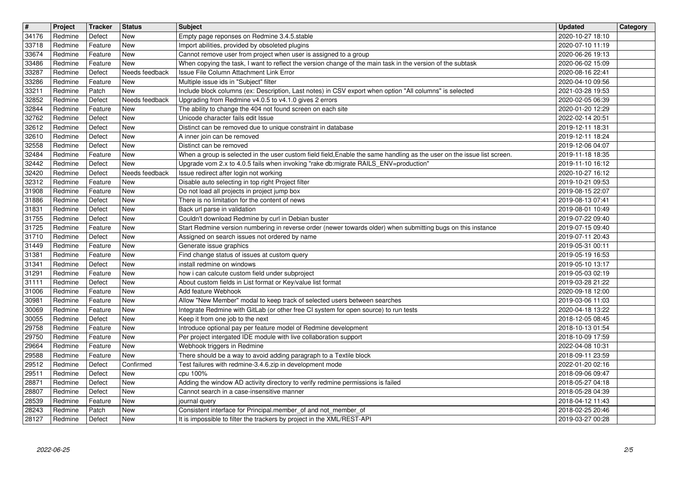| $\overline{\mathbf{t}}$<br>34176 | Project<br>Redmine | Tracker<br>Defect  | <b>Status</b><br>New         | <b>Subject</b><br>Empty page reponses on Redmine 3.4.5.stable                                                                                                                  | <b>Updated</b><br>2020-10-27 18:10   | Category |
|----------------------------------|--------------------|--------------------|------------------------------|--------------------------------------------------------------------------------------------------------------------------------------------------------------------------------|--------------------------------------|----------|
| 33718                            | Redmine            | Feature            | <b>New</b>                   | Import abilities, provided by obsoleted plugins                                                                                                                                | 2020-07-10 11:19                     |          |
| 33674<br>33486                   | Redmine<br>Redmine | Feature<br>Feature | <b>New</b><br><b>New</b>     | Cannot remove user from project when user is assigned to a group<br>When copying the task, I want to reflect the version change of the main task in the version of the subtask | 2020-06-26 19:13<br>2020-06-02 15:09 |          |
| 33287<br>33286                   | Redmine<br>Redmine | Defect<br>Feature  | Needs feedback<br><b>New</b> | Issue File Column Attachment Link Error<br>Multiple issue ids in "Subject" filter                                                                                              | 2020-08-16 22:41<br>2020-04-10 09:56 |          |
| 33211                            | Redmine            | Patch              | <b>New</b>                   | Include block columns (ex: Description, Last notes) in CSV export when option "All columns" is selected                                                                        | 2021-03-28 19:53                     |          |
| 32852<br>32844                   | Redmine<br>Redmine | Defect<br>Feature  | Needs feedback<br><b>New</b> | Upgrading from Redmine v4.0.5 to v4.1.0 gives 2 errors<br>The ability to change the 404 not found screen on each site                                                          | 2020-02-05 06:39<br>2020-01-20 12:29 |          |
| 32762<br>32612                   | Redmine<br>Redmine | Defect<br>Defect   | <b>New</b><br><b>New</b>     | Unicode character fails edit Issue<br>Distinct can be removed due to unique constraint in database                                                                             | 2022-02-14 20:51<br>2019-12-11 18:31 |          |
| 32610<br>32558                   | Redmine<br>Redmine | Defect<br>Defect   | <b>New</b><br><b>New</b>     | A inner join can be removed<br>Distinct can be removed                                                                                                                         | 2019-12-11 18:24<br>2019-12-06 04:07 |          |
| 32484                            | Redmine            | Feature            | <b>New</b>                   | When a group is selected in the user custom field field, Enable the same handling as the user on the issue list screen.                                                        | 2019-11-18 18:35                     |          |
| 32442<br>32420                   | Redmine<br>Redmine | Defect<br>Defect   | <b>New</b><br>Needs feedback | Upgrade vom 2.x to 4.0.5 fails when invoking "rake db:migrate RAILS_ENV=production"<br>Issue redirect after login not working                                                  | 2019-11-10 16:12<br>2020-10-27 16:12 |          |
| 32312<br>31908                   | Redmine<br>Redmine | Feature<br>Feature | <b>New</b><br><b>New</b>     | Disable auto selecting in top right Project filter<br>Do not load all projects in project jump box                                                                             | 2019-10-21 09:53<br>2019-08-15 22:07 |          |
| 31886<br>31831                   | Redmine<br>Redmine | Defect<br>Defect   | New<br><b>New</b>            | There is no limitation for the content of news<br>Back url parse in validation                                                                                                 | 2019-08-13 07:41                     |          |
| 31755                            | Redmine            | Defect             | <b>New</b>                   | Couldn't download Redmine by curl in Debian buster                                                                                                                             | 2019-08-01 10:49<br>2019-07-22 09:40 |          |
| 31725<br>$\boxed{31710}$         | Redmine<br>Redmine | Feature<br>Defect  | <b>New</b><br><b>New</b>     | Start Redmine version numbering in reverse order (newer towards older) when submitting bugs on this instance<br>Assigned on search issues not ordered by name                  | 2019-07-15 09:40<br>2019-07-11 20:43 |          |
| 31449<br>31381                   | Redmine<br>Redmine | Feature<br>Feature | <b>New</b><br><b>New</b>     | Generate issue graphics<br>Find change status of issues at custom query                                                                                                        | 2019-05-31 00:11<br>2019-05-19 16:53 |          |
| 31341                            | Redmine            | Defect             | <b>New</b>                   | install redmine on windows                                                                                                                                                     | 2019-05-10 13:17                     |          |
| 31291<br>31111                   | Redmine<br>Redmine | Feature<br>Defect  | <b>New</b><br><b>New</b>     | how i can calcute custom field under subproject<br>About custom fields in List format or Key/value list format                                                                 | 2019-05-03 02:19<br>2019-03-28 21:22 |          |
| 31006<br>30981                   | Redmine<br>Redmine | Feature<br>Feature | <b>New</b><br><b>New</b>     | Add feature Webhook<br>Allow "New Member" modal to keep track of selected users between searches                                                                               | 2020-09-18 12:00<br>2019-03-06 11:03 |          |
| 30069                            | Redmine            | Feature            | <b>New</b>                   | Integrate Redmine with GitLab (or other free CI system for open source) to run tests                                                                                           | 2020-04-18 13:22                     |          |
| 30055<br>29758                   | Redmine<br>Redmine | Defect<br>Feature  | <b>New</b><br><b>New</b>     | Keep it from one job to the next<br>Introduce optional pay per feature model of Redmine development                                                                            | 2018-12-05 08:45<br>2018-10-13 01:54 |          |
| 29750<br>29664                   | Redmine<br>Redmine | Feature<br>Feature | <b>New</b><br><b>New</b>     | Per project intergated IDE module with live collaboration support<br>Webhook triggers in Redmine                                                                               | 2018-10-09 17:59<br>2022-04-08 10:31 |          |
| 29588                            | Redmine            | Feature            | <b>New</b>                   | There should be a way to avoid adding paragraph to a Textile block                                                                                                             | 2018-09-11 23:59                     |          |
| 29512<br>29511                   | Redmine<br>Redmine | Defect<br>Defect   | Confirmed<br>New             | Test failures with redmine-3.4.6.zip in development mode<br>cpu 100%                                                                                                           | 2022-01-20 02:16<br>2018-09-06 09:47 |          |
| 28871<br>28807                   | Redmine<br>Redmine | Defect<br>Defect   | New<br><b>New</b>            | Adding the window AD activity directory to verify redmine permissions is failed<br>Cannot search in a case-insensitive manner                                                  | 2018-05-27 04:18<br>2018-05-28 04:39 |          |
| 28539<br>28243                   | Redmine<br>Redmine | Feature<br>Patch   | New<br>New                   | journal query<br>Consistent interface for Principal.member_of and not_member_of                                                                                                | 2018-04-12 11:43<br>2018-02-25 20:46 |          |
| 28127                            | Redmine            | Defect             | New                          | It is impossible to filter the trackers by project in the XML/REST-API                                                                                                         | 2019-03-27 00:28                     |          |
|                                  |                    |                    |                              |                                                                                                                                                                                |                                      |          |
|                                  |                    |                    |                              |                                                                                                                                                                                |                                      |          |
|                                  |                    |                    |                              |                                                                                                                                                                                |                                      |          |
|                                  |                    |                    |                              |                                                                                                                                                                                |                                      |          |
|                                  |                    |                    |                              |                                                                                                                                                                                |                                      |          |
|                                  |                    |                    |                              |                                                                                                                                                                                |                                      |          |
|                                  |                    |                    |                              |                                                                                                                                                                                |                                      |          |
|                                  |                    |                    |                              |                                                                                                                                                                                |                                      |          |
|                                  |                    |                    |                              |                                                                                                                                                                                |                                      |          |
|                                  |                    |                    |                              |                                                                                                                                                                                |                                      |          |
|                                  |                    |                    |                              |                                                                                                                                                                                |                                      |          |
|                                  |                    |                    |                              |                                                                                                                                                                                |                                      |          |
|                                  |                    |                    |                              |                                                                                                                                                                                |                                      |          |
|                                  |                    |                    |                              |                                                                                                                                                                                |                                      |          |
|                                  |                    |                    |                              |                                                                                                                                                                                |                                      |          |
|                                  |                    |                    |                              |                                                                                                                                                                                |                                      |          |
|                                  |                    |                    |                              |                                                                                                                                                                                |                                      |          |
|                                  |                    |                    |                              |                                                                                                                                                                                |                                      |          |
|                                  |                    |                    |                              |                                                                                                                                                                                |                                      |          |
|                                  |                    |                    |                              |                                                                                                                                                                                |                                      |          |
|                                  |                    |                    |                              |                                                                                                                                                                                |                                      |          |
|                                  |                    |                    |                              |                                                                                                                                                                                |                                      |          |
|                                  |                    |                    |                              |                                                                                                                                                                                |                                      |          |
|                                  |                    |                    |                              |                                                                                                                                                                                |                                      |          |
|                                  |                    |                    |                              |                                                                                                                                                                                |                                      |          |
|                                  |                    |                    |                              |                                                                                                                                                                                |                                      |          |
|                                  |                    |                    |                              |                                                                                                                                                                                |                                      |          |
|                                  |                    |                    |                              |                                                                                                                                                                                |                                      |          |
|                                  |                    |                    |                              |                                                                                                                                                                                |                                      |          |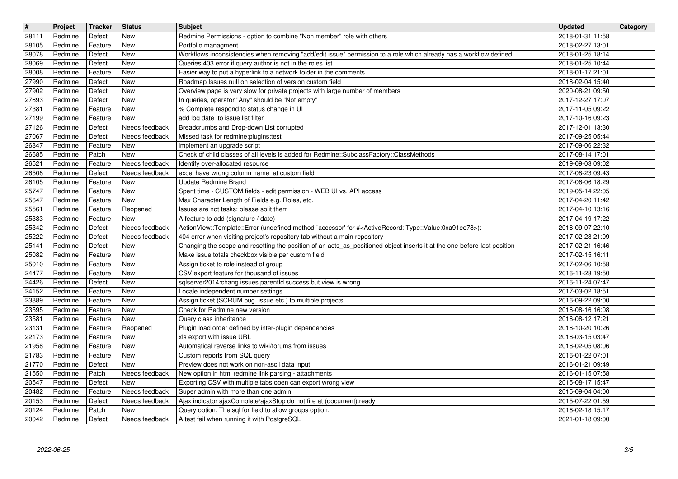| $\overline{\boldsymbol{H}}$<br>28111 | Project<br>Redmine | Tracker<br>Defect  | <b>Status</b><br>New             | <b>Subject</b><br>Redmine Permissions - option to combine "Non member" role with others                                                                                                                                     | <b>Updated</b><br>2018-01-31 11:58   | Category |
|--------------------------------------|--------------------|--------------------|----------------------------------|-----------------------------------------------------------------------------------------------------------------------------------------------------------------------------------------------------------------------------|--------------------------------------|----------|
| 28105                                | Redmine            | Feature            | New                              | Portfolio managment                                                                                                                                                                                                         | 2018-02-27 13:01                     |          |
| 28078<br>28069                       | Redmine<br>Redmine | Defect<br>Defect   | New<br>New                       | Workflows inconsistencies when removing "add/edit issue" permission to a role which already has a workflow defined<br>Queries 403 error if query author is not in the roles list                                            | 2018-01-25 18:14<br>2018-01-25 10:44 |          |
| 28008<br>27990                       | Redmine<br>Redmine | Feature<br>Defect  | New<br>New                       | Easier way to put a hyperlink to a network folder in the comments<br>Roadmap Issues null on selection of version custom field                                                                                               | 2018-01-17 21:01<br>2018-02-04 15:40 |          |
| 27902                                | Redmine            | Defect             | New                              | Overview page is very slow for private projects with large number of members                                                                                                                                                | 2020-08-21 09:50                     |          |
| 27693<br>27381                       | Redmine<br>Redmine | Defect<br>Feature  | New<br>New                       | In queries, operator "Any" should be "Not empty"<br>% Complete respond to status change in UI                                                                                                                               | 2017-12-27 17:07<br>2017-11-05 09:22 |          |
| 27199<br>27126                       | Redmine<br>Redmine | Feature<br>Defect  | New<br>Needs feedback            | add log date to issue list filter<br>Breadcrumbs and Drop-down List corrupted                                                                                                                                               | 2017-10-16 09:23<br>2017-12-01 13:30 |          |
| 27067<br>26847                       | Redmine<br>Redmine | Defect<br>Feature  | Needs feedback<br>New            | Missed task for redmine: plugins: test<br>implement an upgrade script                                                                                                                                                       | 2017-09-25 05:44<br>2017-09-06 22:32 |          |
| 26685                                | Redmine            | Patch              | <b>New</b>                       | Check of child classes of all levels is added for Redmine::SubclassFactory::ClassMethods                                                                                                                                    | 2017-08-14 17:01                     |          |
| 26521<br>26508                       | Redmine<br>Redmine | Feature<br>Defect  | Needs feedback<br>Needs feedback | Identify over-allocated resource<br>excel have wrong column name at custom field                                                                                                                                            | 2019-09-03 09:02<br>2017-08-23 09:43 |          |
| 26105<br>25747                       | Redmine<br>Redmine | Feature<br>Feature | New<br>New                       | <b>Update Redmine Brand</b><br>Spent time - CUSTOM fields - edit permission - WEB UI vs. API access                                                                                                                         | 2017-06-06 18:29<br>2019-05-14 22:05 |          |
| 25647<br>25561                       | Redmine<br>Redmine | Feature<br>Feature | New<br>Reopened                  | Max Character Length of Fields e.g. Roles, etc.<br>Issues are not tasks: please split them                                                                                                                                  | 2017-04-20 11:42<br>2017-04-10 13:16 |          |
| 25383                                | Redmine            | Feature            | New                              | A feature to add (signature / date)                                                                                                                                                                                         | 2017-04-19 17:22                     |          |
| 25342<br>25222                       | Redmine<br>Redmine | Defect<br>Defect   | Needs feedback<br>Needs feedback | ActionView::Template::Error (undefined method `accessor' for # <activerecord::type::value:0xa91ee78>):<br/>404 error when visiting project's repository tab without a main repository</activerecord::type::value:0xa91ee78> | 2018-09-07 22:10<br>2017-02-28 21:09 |          |
| 25141<br>25082                       | Redmine<br>Redmine | Defect<br>Feature  | New<br>New                       | Changing the scope and resetting the position of an acts_as_positioned object inserts it at the one-before-last position<br>Make issue totals checkbox visible per custom field                                             | 2017-02-21 16:46<br>2017-02-15 16:11 |          |
| 25010<br>24477                       | Redmine<br>Redmine | Feature<br>Feature | New<br>New                       | Assign ticket to role instead of group<br>CSV export feature for thousand of issues                                                                                                                                         | 2017-02-06 10:58<br>2016-11-28 19:50 |          |
| 24426                                | Redmine            | Defect             | New                              | sqlserver2014:chang issues parentld success but view is wrong                                                                                                                                                               | 2016-11-24 07:47                     |          |
| 24152<br>23889                       | Redmine<br>Redmine | Feature<br>Feature | New<br>New                       | Locale independent number settings<br>Assign ticket (SCRUM bug, issue etc.) to multiple projects                                                                                                                            | 2017-03-02 18:51<br>2016-09-22 09:00 |          |
| 23595                                | Redmine            | Feature            | New                              | Check for Redmine new version                                                                                                                                                                                               | 2016-08-16 16:08                     |          |
| 23581<br>23131                       | Redmine<br>Redmine | Feature<br>Feature | New<br>Reopened                  | Query class inheritance<br>Plugin load order defined by inter-plugin dependencies                                                                                                                                           | 2016-08-12 17:21<br>2016-10-20 10:26 |          |
| 22173<br>21958                       | Redmine<br>Redmine | Feature<br>Feature | New<br>New                       | xls export with issue URL<br>Automatical reverse links to wiki/forums from issues                                                                                                                                           | 2016-03-15 03:47<br>2016-02-05 08:06 |          |
| 21783                                | Redmine            | Feature            | New                              | Custom reports from SQL query                                                                                                                                                                                               | 2016-01-22 07:01                     |          |
| 21770<br>21550                       | Redmine<br>Redmine | Defect<br>Patch    | <b>New</b><br>Needs feedback     | Preview does not work on non-ascii data input<br>New option in html redmine link parsing - attachments                                                                                                                      | 2016-01-21 09:49<br>2016-01-15 07:58 |          |
| 20547<br>20482                       | Redmine<br>Redmine | Defect<br>Feature  | New<br>Needs feedback            | Exporting CSV with multiple tabs open can export wrong view<br>Super admin with more than one admin                                                                                                                         | 2015-08-17 15:47<br>2015-09-04 04:00 |          |
| 20153<br>20124                       | Redmine<br>Redmine | Defect<br>Patch    | Needs feedback<br>New            | Ajax indicator ajaxComplete/ajaxStop do not fire at (document).ready<br>Query option, The sql for field to allow groups option.                                                                                             | 2015-07-22 01:59<br>2016-02-18 15:17 |          |
| 20042                                | Redmine            | Defect             | Needs feedback                   | A test fail when running it with PostgreSQL                                                                                                                                                                                 | 2021-01-18 09:00                     |          |
|                                      |                    |                    |                                  |                                                                                                                                                                                                                             |                                      |          |
|                                      |                    |                    |                                  |                                                                                                                                                                                                                             |                                      |          |
|                                      |                    |                    |                                  |                                                                                                                                                                                                                             |                                      |          |
|                                      |                    |                    |                                  |                                                                                                                                                                                                                             |                                      |          |
|                                      |                    |                    |                                  |                                                                                                                                                                                                                             |                                      |          |
|                                      |                    |                    |                                  |                                                                                                                                                                                                                             |                                      |          |
|                                      |                    |                    |                                  |                                                                                                                                                                                                                             |                                      |          |
|                                      |                    |                    |                                  |                                                                                                                                                                                                                             |                                      |          |
|                                      |                    |                    |                                  |                                                                                                                                                                                                                             |                                      |          |
|                                      |                    |                    |                                  |                                                                                                                                                                                                                             |                                      |          |
|                                      |                    |                    |                                  |                                                                                                                                                                                                                             |                                      |          |
|                                      |                    |                    |                                  |                                                                                                                                                                                                                             |                                      |          |
|                                      |                    |                    |                                  |                                                                                                                                                                                                                             |                                      |          |
|                                      |                    |                    |                                  |                                                                                                                                                                                                                             |                                      |          |
|                                      |                    |                    |                                  |                                                                                                                                                                                                                             |                                      |          |
|                                      |                    |                    |                                  |                                                                                                                                                                                                                             |                                      |          |
|                                      |                    |                    |                                  |                                                                                                                                                                                                                             |                                      |          |
|                                      |                    |                    |                                  |                                                                                                                                                                                                                             |                                      |          |
|                                      |                    |                    |                                  |                                                                                                                                                                                                                             |                                      |          |
|                                      |                    |                    |                                  |                                                                                                                                                                                                                             |                                      |          |
|                                      |                    |                    |                                  |                                                                                                                                                                                                                             |                                      |          |
|                                      |                    |                    |                                  |                                                                                                                                                                                                                             |                                      |          |
|                                      |                    |                    |                                  |                                                                                                                                                                                                                             |                                      |          |
|                                      |                    |                    |                                  |                                                                                                                                                                                                                             |                                      |          |
|                                      |                    |                    |                                  |                                                                                                                                                                                                                             |                                      |          |
|                                      |                    |                    |                                  |                                                                                                                                                                                                                             |                                      |          |
|                                      |                    |                    |                                  |                                                                                                                                                                                                                             |                                      |          |
|                                      |                    |                    |                                  |                                                                                                                                                                                                                             |                                      |          |
|                                      |                    |                    |                                  |                                                                                                                                                                                                                             |                                      |          |
|                                      |                    |                    |                                  |                                                                                                                                                                                                                             |                                      |          |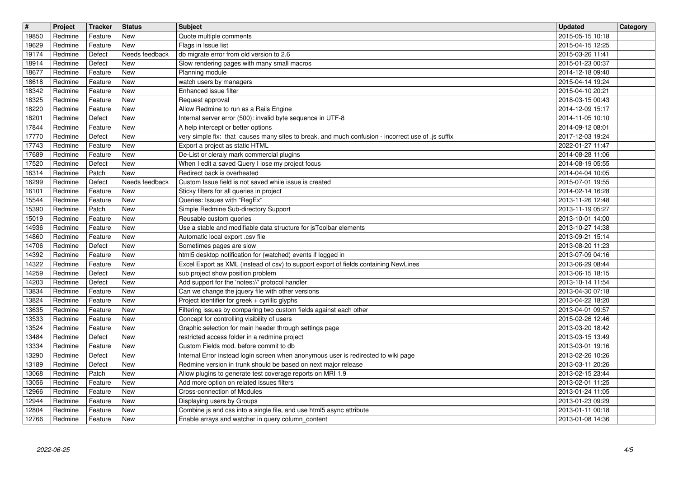| $\overline{\mathbf{H}}$ | Project            | Tracker            | <b>Status</b>            | <b>Subject</b>                                                                                                                                       | <b>Updated</b>                       | Category |
|-------------------------|--------------------|--------------------|--------------------------|------------------------------------------------------------------------------------------------------------------------------------------------------|--------------------------------------|----------|
| 19850<br>19629          | Redmine<br>Redmine | Feature<br>Feature | New<br>New               | Quote multiple comments<br>Flags in Issue list                                                                                                       | 2015-05-15 10:18<br>2015-04-15 12:25 |          |
| 19174                   | Redmine            | Defect             | Needs feedback           | db migrate error from old version to 2.6                                                                                                             | 2015-03-26 11:41                     |          |
| 18914<br>18677          | Redmine<br>Redmine | Defect<br>Feature  | <b>New</b><br><b>New</b> | Slow rendering pages with many small macros<br>Planning module                                                                                       | 2015-01-23 00:37<br>2014-12-18 09:40 |          |
| 18618                   | Redmine            | Feature            | New                      | watch users by managers                                                                                                                              | 2015-04-14 19:24                     |          |
| 18342<br>18325          | Redmine<br>Redmine | Feature<br>Feature | New<br>New               | Enhanced issue filter<br>Request approval                                                                                                            | 2015-04-10 20:21<br>2018-03-15 00:43 |          |
| 18220                   | Redmine            | Feature            | New                      | Allow Redmine to run as a Rails Engine                                                                                                               | 2014-12-09 15:17                     |          |
| 18201<br>17844          | Redmine<br>Redmine | Defect<br>Feature  | New<br>New               | Internal server error (500): invalid byte sequence in UTF-8<br>A help intercept or better options                                                    | 2014-11-05 10:10<br>2014-09-12 08:01 |          |
| 17770                   | Redmine            | Defect             | New                      | very simple fix: that causes many sites to break, and much confusion - incorrect use of .js suffix                                                   | 2017-12-03 19:24                     |          |
| 17743<br>17689          | Redmine<br>Redmine | Feature<br>Feature | <b>New</b><br>New        | Export a project as static HTML<br>De-List or cleraly mark commercial plugins                                                                        | 2022-01-27 11:47<br>2014-08-28 11:06 |          |
| 17520                   | Redmine            | Defect             | New                      | When I edit a saved Query I lose my project focus                                                                                                    | 2014-08-19 05:55                     |          |
| 16314<br>16299          | Redmine<br>Redmine | Patch<br>Defect    | New<br>Needs feedback    | Redirect back is overheated<br>Custom Issue field is not saved while issue is created                                                                | 2014-04-04 10:05<br>2015-07-01 19:55 |          |
| 16101                   | Redmine            | Feature            | <b>New</b>               | Sticky filters for all queries in project                                                                                                            | 2014-02-14 16:28                     |          |
| 15544                   | Redmine            | Feature            | <b>New</b>               | Queries: Issues with "RegEx"                                                                                                                         | 2013-11-26 12:48                     |          |
| 15390<br>15019          | Redmine<br>Redmine | Patch<br>Feature   | New<br>New               | Simple Redmine Sub-directory Support<br>Reusable custom queries                                                                                      | 2013-11-19 05:27<br>2013-10-01 14:00 |          |
| 14936                   | Redmine            | Feature            | New                      | Use a stable and modifiable data structure for jsToolbar elements                                                                                    | 2013-10-27 14:38                     |          |
| 14860<br>14706          | Redmine<br>Redmine | Feature<br>Defect  | New<br>New               | Automatic local export .csv file<br>Sometimes pages are slow                                                                                         | 2013-09-21 15:14<br>2013-08-20 11:23 |          |
| 14392                   | Redmine            | Feature            | New                      | html5 desktop notification for (watched) events if logged in                                                                                         | 2013-07-09 04:16                     |          |
| 14322<br>14259          | Redmine<br>Redmine | Feature<br>Defect  | New<br>New               | Excel Export as XML (instead of csv) to support export of fields containing NewLines<br>sub project show position problem                            | 2013-06-29 08:44<br>2013-06-15 18:15 |          |
| 14203                   | Redmine            | Defect             | New                      | Add support for the 'notes://' protocol handler                                                                                                      | 2013-10-14 11:54                     |          |
| 13834<br>13824          | Redmine<br>Redmine | Feature<br>Feature | New<br>New               | Can we change the jquery file with other versions<br>Project identifier for greek + cyrillic glyphs                                                  | 2013-04-30 07:18<br>2013-04-22 18:20 |          |
| 13635                   | Redmine            | Feature            | New                      | Filtering issues by comparing two custom fields against each other                                                                                   | 2013-04-01 09:57                     |          |
| 13533<br>13524          | Redmine<br>Redmine | Feature<br>Feature | New<br>New               | Concept for controlling visibility of users<br>Graphic selection for main header through settings page                                               | 2015-02-26 12:46<br>2013-03-20 18:42 |          |
| 13484                   | Redmine            | Defect             | New                      | restricted access folder in a redmine project                                                                                                        | 2013-03-15 13:49                     |          |
| 13334<br>13290          | Redmine<br>Redmine | Feature<br>Defect  | <b>New</b><br>New        | Custom Fields mod. before commit to db                                                                                                               | 2013-03-01 19:16<br>2013-02-26 10:26 |          |
| 13189                   | Redmine            | Defect             | New                      | Internal Error instead login screen when anonymous user is redirected to wiki page<br>Redmine version in trunk should be based on next major release | 2013-03-11 20:26                     |          |
| 13068                   | Redmine            | Patch              | New                      | Allow plugins to generate test coverage reports on MRI 1.9                                                                                           | 2013-02-15 23:44<br>2013-02-01 11:25 |          |
| 13056<br>12966          | Redmine<br>Redmine | Feature<br>Feature | New<br>New               | Add more option on related issues filters<br>Cross-connection of Modules                                                                             | 2013-01-24 11:05                     |          |
| 12944                   | Redmine            | Feature            | New                      | Displaying users by Groups                                                                                                                           | 2013-01-23 09:29                     |          |
| 12804<br>12766          | Redmine<br>Redmine | Feature<br>Feature | New<br>New               | Combine js and css into a single file, and use html5 async attribute<br>Enable arrays and watcher in query column_content                            | 2013-01-11 00:18<br>2013-01-08 14:36 |          |
|                         |                    |                    |                          |                                                                                                                                                      |                                      |          |
|                         |                    |                    |                          |                                                                                                                                                      |                                      |          |
|                         |                    |                    |                          |                                                                                                                                                      |                                      |          |
|                         |                    |                    |                          |                                                                                                                                                      |                                      |          |
|                         |                    |                    |                          |                                                                                                                                                      |                                      |          |
|                         |                    |                    |                          |                                                                                                                                                      |                                      |          |
|                         |                    |                    |                          |                                                                                                                                                      |                                      |          |
|                         |                    |                    |                          |                                                                                                                                                      |                                      |          |
|                         |                    |                    |                          |                                                                                                                                                      |                                      |          |
|                         |                    |                    |                          |                                                                                                                                                      |                                      |          |
|                         |                    |                    |                          |                                                                                                                                                      |                                      |          |
|                         |                    |                    |                          |                                                                                                                                                      |                                      |          |
|                         |                    |                    |                          |                                                                                                                                                      |                                      |          |
|                         |                    |                    |                          |                                                                                                                                                      |                                      |          |
|                         |                    |                    |                          |                                                                                                                                                      |                                      |          |
|                         |                    |                    |                          |                                                                                                                                                      |                                      |          |
|                         |                    |                    |                          |                                                                                                                                                      |                                      |          |
|                         |                    |                    |                          |                                                                                                                                                      |                                      |          |
|                         |                    |                    |                          |                                                                                                                                                      |                                      |          |
|                         |                    |                    |                          |                                                                                                                                                      |                                      |          |
|                         |                    |                    |                          |                                                                                                                                                      |                                      |          |
|                         |                    |                    |                          |                                                                                                                                                      |                                      |          |
|                         |                    |                    |                          |                                                                                                                                                      |                                      |          |
|                         |                    |                    |                          |                                                                                                                                                      |                                      |          |
|                         |                    |                    |                          |                                                                                                                                                      |                                      |          |
|                         |                    |                    |                          |                                                                                                                                                      |                                      |          |
|                         |                    |                    |                          |                                                                                                                                                      |                                      |          |
|                         |                    |                    |                          |                                                                                                                                                      |                                      |          |
|                         |                    |                    |                          |                                                                                                                                                      |                                      |          |
|                         |                    |                    |                          |                                                                                                                                                      |                                      |          |
|                         |                    |                    |                          |                                                                                                                                                      |                                      |          |
|                         |                    |                    |                          |                                                                                                                                                      |                                      |          |
|                         |                    |                    |                          |                                                                                                                                                      |                                      |          |
|                         |                    |                    |                          |                                                                                                                                                      |                                      |          |
|                         |                    |                    |                          |                                                                                                                                                      |                                      |          |